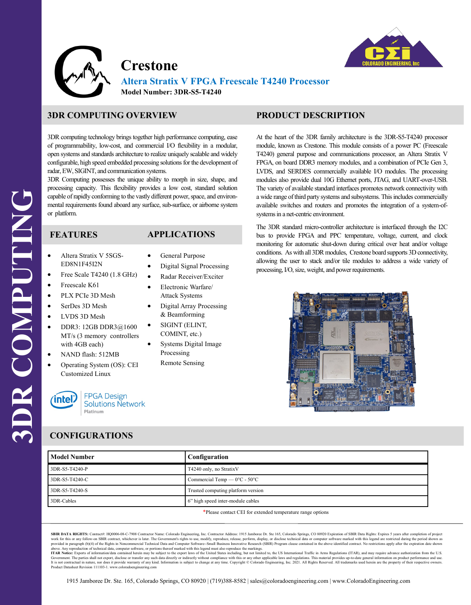

**Crestone**



**Altera Stratix V FPGA Freescale T4240 Processor Model Number: 3DR-S5-T4240**

# **3DR COMPUTING OVERVIEW**

3DR computing technology brings together high performance computing, ease of programmability, low-cost, and commercial I/O flexibility in a modular, open systems and standards architecture to realize uniquely scalable and widely configurable, high speed embedded processing solutions for the development of radar, EW, SIGINT, and communication systems.

3DR Computing possesses the unique ability to morph in size, shape, and processing capacity. This flexibility provides a low cost, standard solution capable of rapidly conforming to the vastly different power, space, and environmental requirements found aboard any surface, sub-surface, or airborne system or platform.

#### **FEATURES**

### **APPLICATIONS**

• General Purpose

- Altera Stratix V 5SGS-ED8N1F45I2N
- Free Scale T4240 (1.8 GHz)
- Freescale K61
- PLX PCIe 3D Mesh
- SerDes 3D Mesh
- LVDS 3D Mesh
- DDR3: 12GB DDR3 $@1600$ MT/s (3 memory controllers with 4GB each)
- NAND flash: 512MB
- Operating System (OS): CEI Customized Linux



## • Digital Signal Processing Radar Receiver/Exciter

- Electronic Warfare/ Attack Systems
- Digital Array Processing & Beamforming
- SIGINT (ELINT, COMINT, etc.)
- Systems Digital Image Processing
	- Remote Sensing

## **PRODUCT DESCRIPTION**

At the heart of the 3DR family architecture is the 3DR-S5-T4240 processor module, known as Crestone. This module consists of a power PC (Freescale T4240) general purpose and communications processor, an Altera Stratix V FPGA, on board DDR3 memory modules, and a combination of PCIe Gen 3, LVDS, and SERDES commercially available I/O modules. The processing modules also provide dual 10G Ethernet ports, JTAG, and UART-over-USB. The variety of available standard interfaces promotes network connectivity with a wide range of third party systems and subsystems. This includes commercially available switches and routers and promotes the integration of a system-ofsystems in a net-centric environment.

The 3DR standard micro-controller architecture is interfaced through the I2C bus to provide FPGA and PPC temperature, voltage, current, and clock monitoring for automatic shut-down during critical over heat and/or voltage conditions. As with all 3DR modules, Crestone board supports 3D connectivity, allowing the user to stack and/or tile modules to address a wide variety of processing, I/O, size, weight, and power requirements.



#### **CONFIGURATIONS**

| <b>Model Number</b>                                                                                                                                                                                                                | Configuration                                     |  |
|------------------------------------------------------------------------------------------------------------------------------------------------------------------------------------------------------------------------------------|---------------------------------------------------|--|
| 3DR-S5-T4240-P                                                                                                                                                                                                                     | T4240 only, no StratixV                           |  |
| 3DR-S5-T4240-C                                                                                                                                                                                                                     | Commercial Temp — $0^{\circ}$ C - 50 $^{\circ}$ C |  |
| 3DR-S5-T4240-S                                                                                                                                                                                                                     | Trusted computing platform version                |  |
| 3DR-Cables                                                                                                                                                                                                                         | 6" high speed inter-module cables                 |  |
| $\frac{d}{dx}$ , the contract of the contract of the contract of the contract of the contract of the contract of the contract of the contract of the contract of the contract of the contract of the contract of the contract of t |                                                   |  |

Please contact CEI for extended temperature range options

SBIR DATA RIGHTS: Contract#: HQ0006-08-C-7908 Contractor Name: Colorado Engineering, Inc. Contractor Address: 1915 Jamboree Dr. Ste 165, Colorado Springs, CO 80920 Expiration of SBIR Data Rights: Expires 5 years after comp work for this or any follow-on SBIR contract, whichever is later. The Government's rights to use, modify, reproduce, release, perform, display, or disclose technical data or computer software marked with this legend are re

REVIA POINT CONTROLLED IN CONTROLLED IN A SUBJECT TO BE VIOLEN UNION OF THE VIOLENCE OF THE VIOLENCE OF THE SUBJECT OF THE SECTION OF THE SECTION OF THE CONTROLLED IN A SUBJECT OF THE CONTROLLED IN A SUBJECT OF THE VIOLENC Government. The parties shall not export, disclose or transfer any such data directly or indirectly without compliance with this or any other applicable laws and regulations. This material provides up-to-date general info